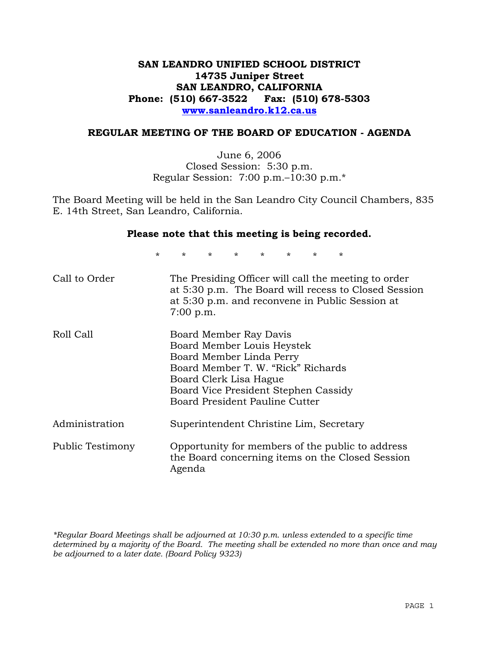# **SAN LEANDRO UNIFIED SCHOOL DISTRICT 14735 Juniper Street SAN LEANDRO, CALIFORNIA Phone: (510) 667-3522 Fax: (510) 678-5303 www.sanleandro.k12.ca.us**

# **REGULAR MEETING OF THE BOARD OF EDUCATION - AGENDA**

June 6, 2006 Closed Session: 5:30 p.m. Regular Session: 7:00 p.m.–10:30 p.m.\*

The Board Meeting will be held in the San Leandro City Council Chambers, 835 E. 14th Street, San Leandro, California.

### **Please note that this meeting is being recorded.**

\* \* \* \* \* \* \* \*

| Call to Order    | The Presiding Officer will call the meeting to order<br>at 5:30 p.m. The Board will recess to Closed Session<br>at 5:30 p.m. and reconvene in Public Session at<br>$7:00$ p.m.                                             |
|------------------|----------------------------------------------------------------------------------------------------------------------------------------------------------------------------------------------------------------------------|
| Roll Call        | Board Member Ray Davis<br>Board Member Louis Heystek<br>Board Member Linda Perry<br>Board Member T. W. "Rick" Richards<br>Board Clerk Lisa Hague<br>Board Vice President Stephen Cassidy<br>Board President Pauline Cutter |
| Administration   | Superintendent Christine Lim, Secretary                                                                                                                                                                                    |
| Public Testimony | Opportunity for members of the public to address<br>the Board concerning items on the Closed Session<br>Agenda                                                                                                             |

*\*Regular Board Meetings shall be adjourned at 10:30 p.m. unless extended to a specific time determined by a majority of the Board. The meeting shall be extended no more than once and may be adjourned to a later date. (Board Policy 9323)*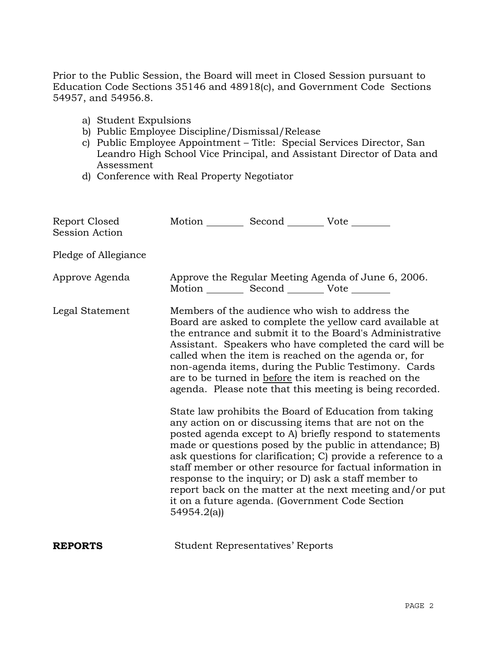Prior to the Public Session, the Board will meet in Closed Session pursuant to Education Code Sections 35146 and 48918(c), and Government Code Sections 54957, and 54956.8.

- a) Student Expulsions
- b) Public Employee Discipline/Dismissal/Release
- c) Public Employee Appointment Title: Special Services Director, San Leandro High School Vice Principal, and Assistant Director of Data and Assessment
- d) Conference with Real Property Negotiator

| Report Closed<br><b>Session Action</b> | Motion __________ Second __________ Vote ________ |                                         |                                                                                                                                                                                                                                                                                                                                                                                                                                                                                                                                                                                                                                                                                                                                                                                                                                                                                                                                                                                                                        |
|----------------------------------------|---------------------------------------------------|-----------------------------------------|------------------------------------------------------------------------------------------------------------------------------------------------------------------------------------------------------------------------------------------------------------------------------------------------------------------------------------------------------------------------------------------------------------------------------------------------------------------------------------------------------------------------------------------------------------------------------------------------------------------------------------------------------------------------------------------------------------------------------------------------------------------------------------------------------------------------------------------------------------------------------------------------------------------------------------------------------------------------------------------------------------------------|
| Pledge of Allegiance                   |                                                   |                                         |                                                                                                                                                                                                                                                                                                                                                                                                                                                                                                                                                                                                                                                                                                                                                                                                                                                                                                                                                                                                                        |
| Approve Agenda                         | Motion __________ Second __________ Vote ________ |                                         | Approve the Regular Meeting Agenda of June 6, 2006.                                                                                                                                                                                                                                                                                                                                                                                                                                                                                                                                                                                                                                                                                                                                                                                                                                                                                                                                                                    |
| Legal Statement                        | 54954.2(a)                                        |                                         | Members of the audience who wish to address the<br>Board are asked to complete the yellow card available at<br>the entrance and submit it to the Board's Administrative<br>Assistant. Speakers who have completed the card will be<br>called when the item is reached on the agenda or, for<br>non-agenda items, during the Public Testimony. Cards<br>are to be turned in before the item is reached on the<br>agenda. Please note that this meeting is being recorded.<br>State law prohibits the Board of Education from taking<br>any action on or discussing items that are not on the<br>posted agenda except to A) briefly respond to statements<br>made or questions posed by the public in attendance; B)<br>ask questions for clarification; C) provide a reference to a<br>staff member or other resource for factual information in<br>response to the inquiry; or D) ask a staff member to<br>report back on the matter at the next meeting and/or put<br>it on a future agenda. (Government Code Section |
| <b>REPORTS</b>                         |                                                   | <b>Student Representatives' Reports</b> |                                                                                                                                                                                                                                                                                                                                                                                                                                                                                                                                                                                                                                                                                                                                                                                                                                                                                                                                                                                                                        |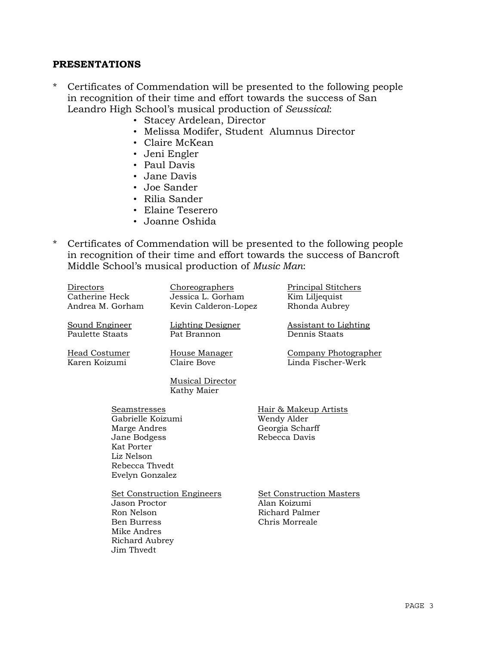## **PRESENTATIONS**

- \* Certificates of Commendation will be presented to the following people in recognition of their time and effort towards the success of San Leandro High School's musical production of *Seussical*:
	- Stacey Ardelean, Director
	- Melissa Modifer, Student Alumnus Director
	- Claire McKean
	- Jeni Engler
	- Paul Davis
	- Jane Davis
	- Joe Sander
	- Rilia Sander
	- Elaine Teserero
	- Joanne Oshida
- \* Certificates of Commendation will be presented to the following people in recognition of their time and effort towards the success of Bancroft Middle School's musical production of *Music Man*:

| Directors<br>Catherine Heck<br>Andrea M. Gorham                                                                                    | Choreographers<br>Jessica L. Gorham<br>Kevin Calderon-Lopez | <b>Principal Stitchers</b><br>Kim Liljequist<br>Rhonda Aubrey                       |
|------------------------------------------------------------------------------------------------------------------------------------|-------------------------------------------------------------|-------------------------------------------------------------------------------------|
| Sound Engineer<br>Paulette Staats                                                                                                  | <b>Lighting Designer</b><br>Pat Brannon                     | <b>Assistant to Lighting</b><br>Dennis Staats                                       |
| Head Costumer<br>Karen Koizumi                                                                                                     | House Manager<br>Claire Bove                                | <b>Company Photographer</b><br>Linda Fischer-Werk                                   |
|                                                                                                                                    | <b>Musical Director</b><br>Kathy Maier                      |                                                                                     |
| Seamstresses<br>Gabrielle Koizumi<br>Marge Andres<br>Jane Bodgess<br>Kat Porter<br>Liz Nelson<br>Rebecca Thyedt<br>Evelyn Gonzalez |                                                             | Hair & Makeup Artists<br>Wendy Alder<br>Georgia Scharff<br>Rebecca Davis            |
| Jason Proctor<br>Ron Nelson<br><b>Ben Burress</b><br>Mike Andres<br>Richard Aubrey<br>Jim Thvedt                                   | <b>Set Construction Engineers</b>                           | <b>Set Construction Masters</b><br>Alan Koizumi<br>Richard Palmer<br>Chris Morreale |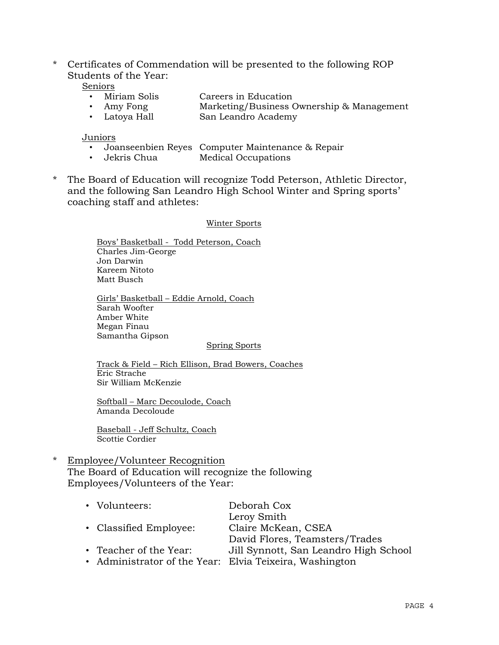\* Certificates of Commendation will be presented to the following ROP Students of the Year:

Seniors

- Miriam Solis Careers in Education
- Amy Fong Marketing/Business Ownership & Management
- Latoya Hall San Leandro Academy

#### Juniors

- Joanseenbien Reyes Computer Maintenance & Repair
- Jekris Chua Medical Occupations
- \* The Board of Education will recognize Todd Peterson, Athletic Director, and the following San Leandro High School Winter and Spring sports' coaching staff and athletes:

#### Winter Sports

 Boys' Basketball - Todd Peterson, Coach Charles Jim-George Jon Darwin Kareem Nitoto Matt Busch

 Girls' Basketball – Eddie Arnold, Coach Sarah Woofter Amber White Megan Finau Samantha Gipson

#### Spring Sports

 Track & Field – Rich Ellison, Brad Bowers, Coaches Eric Strache Sir William McKenzie

 Softball – Marc Decoulode, Coach Amanda Decoloude

 Baseball - Jeff Schultz, Coach Scottie Cordier

\* Employee/Volunteer Recognition The Board of Education will recognize the following Employees/Volunteers of the Year:

| • Volunteers:          | Deborah Cox                                             |
|------------------------|---------------------------------------------------------|
|                        | Leroy Smith                                             |
| • Classified Employee: | Claire McKean, CSEA                                     |
|                        | David Flores, Teamsters/Trades                          |
| • Teacher of the Year: | Jill Synnott, San Leandro High School                   |
|                        | • Administrator of the Year: Elvia Teixeira, Washington |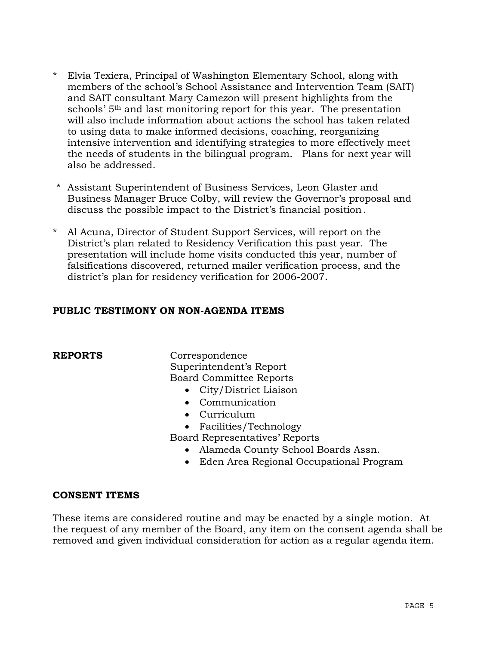- \* Elvia Texiera, Principal of Washington Elementary School, along with members of the school's School Assistance and Intervention Team (SAIT) and SAIT consultant Mary Camezon will present highlights from the schools' 5th and last monitoring report for this year. The presentation will also include information about actions the school has taken related to using data to make informed decisions, coaching, reorganizing intensive intervention and identifying strategies to more effectively meet the needs of students in the bilingual program. Plans for next year will also be addressed.
- \* Assistant Superintendent of Business Services, Leon Glaster and Business Manager Bruce Colby, will review the Governor's proposal and discuss the possible impact to the District's financial position.
- \* Al Acuna, Director of Student Support Services, will report on the District's plan related to Residency Verification this past year. The presentation will include home visits conducted this year, number of falsifications discovered, returned mailer verification process, and the district's plan for residency verification for 2006-2007.

# **PUBLIC TESTIMONY ON NON-AGENDA ITEMS**

**REPORTS** Correspondence Superintendent's Report Board Committee Reports

- City/District Liaison
- Communication
- Curriculum
- Facilities/Technology

Board Representatives' Reports

- Alameda County School Boards Assn.
- Eden Area Regional Occupational Program

# **CONSENT ITEMS**

These items are considered routine and may be enacted by a single motion. At the request of any member of the Board, any item on the consent agenda shall be removed and given individual consideration for action as a regular agenda item.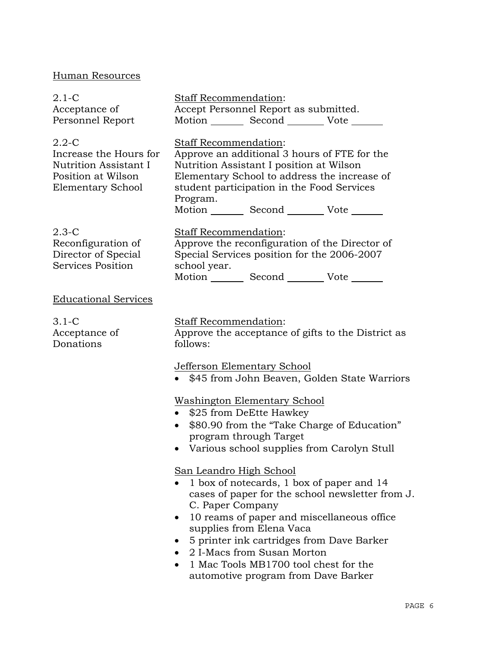# Human Resources

| $2.1-C$<br>Acceptance of<br>Personnel Report                                                                   | <b>Staff Recommendation:</b><br>Accept Personnel Report as submitted.<br>Motion _________ Second __________ Vote _______                                                                                                                                                                                                                                                          |
|----------------------------------------------------------------------------------------------------------------|-----------------------------------------------------------------------------------------------------------------------------------------------------------------------------------------------------------------------------------------------------------------------------------------------------------------------------------------------------------------------------------|
| $2.2 - C$<br>Increase the Hours for<br>Nutrition Assistant I<br>Position at Wilson<br><b>Elementary School</b> | Staff Recommendation:<br>Approve an additional 3 hours of FTE for the<br>Nutrition Assistant I position at Wilson<br>Elementary School to address the increase of<br>student participation in the Food Services<br>Program.<br>Motion Second Vote                                                                                                                                 |
| $2.3-C$<br>Reconfiguration of<br>Director of Special<br>Services Position                                      | <b>Staff Recommendation:</b><br>Approve the reconfiguration of the Director of<br>Special Services position for the 2006-2007<br>school year.<br>Motion _________ Second __________ Vote _______                                                                                                                                                                                  |
| <b>Educational Services</b>                                                                                    |                                                                                                                                                                                                                                                                                                                                                                                   |
| $3.1 - C$<br>Acceptance of<br>Donations                                                                        | Staff Recommendation:<br>Approve the acceptance of gifts to the District as<br>follows:                                                                                                                                                                                                                                                                                           |
|                                                                                                                | <b>Jefferson Elementary School</b><br>• \$45 from John Beaven, Golden State Warriors                                                                                                                                                                                                                                                                                              |
|                                                                                                                | <u> Washington Elementary School</u><br>• \$25 from DeEtte Hawkey<br>\$80.90 from the "Take Charge of Education"<br>$\bullet$<br>program through Target<br>• Various school supplies from Carolyn Stull                                                                                                                                                                           |
|                                                                                                                | San Leandro High School<br>1 box of notecards, 1 box of paper and 14<br>cases of paper for the school newsletter from J.<br>C. Paper Company<br>10 reams of paper and miscellaneous office<br>supplies from Elena Vaca<br>5 printer ink cartridges from Dave Barker<br>2 I-Macs from Susan Morton<br>1 Mac Tools MB1700 tool chest for the<br>automotive program from Dave Barker |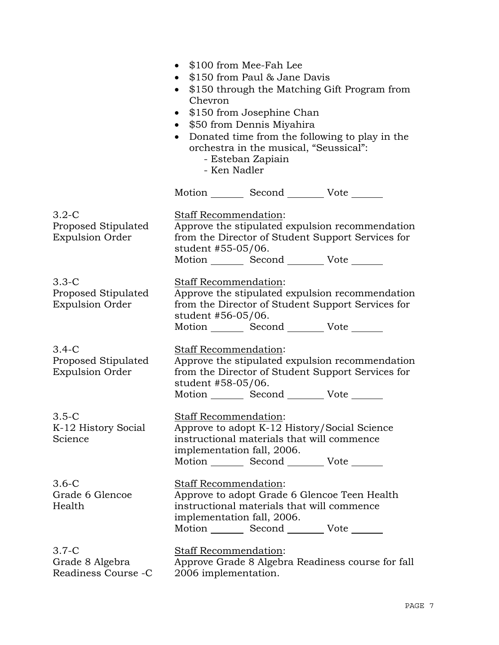|                                                            | \$100 from Mee-Fah Lee<br>$\bullet$<br>\$150 from Paul & Jane Davis<br>\$150 through the Matching Gift Program from<br>Chevron<br>\$150 from Josephine Chan<br>\$50 from Dennis Miyahira<br>$\bullet$<br>Donated time from the following to play in the<br>orchestra in the musical, "Seussical":<br>- Esteban Zapiain<br>- Ken Nadler |                                                                                                                                              |                                                                                                      |  |
|------------------------------------------------------------|----------------------------------------------------------------------------------------------------------------------------------------------------------------------------------------------------------------------------------------------------------------------------------------------------------------------------------------|----------------------------------------------------------------------------------------------------------------------------------------------|------------------------------------------------------------------------------------------------------|--|
|                                                            |                                                                                                                                                                                                                                                                                                                                        | Motion _________ Second __________ Vote _______                                                                                              |                                                                                                      |  |
| $3.2 - C$<br>Proposed Stipulated<br><b>Expulsion Order</b> | Staff Recommendation:<br>student #55-05/06.                                                                                                                                                                                                                                                                                            | Motion _________ Second __________ Vote _______                                                                                              | Approve the stipulated expulsion recommendation<br>from the Director of Student Support Services for |  |
| $3.3-C$<br>Proposed Stipulated<br><b>Expulsion Order</b>   | Staff Recommendation:<br>student #56-05/06.                                                                                                                                                                                                                                                                                            | Motion _________ Second __________ Vote _______                                                                                              | Approve the stipulated expulsion recommendation<br>from the Director of Student Support Services for |  |
| $3.4-C$<br>Proposed Stipulated<br><b>Expulsion Order</b>   | Staff Recommendation:<br>student #58-05/06.                                                                                                                                                                                                                                                                                            | Motion _________ Second __________ Vote _______                                                                                              | Approve the stipulated expulsion recommendation<br>from the Director of Student Support Services for |  |
| $3.5-C$<br>K-12 History Social<br>Science                  | Staff Recommendation:<br>implementation fall, 2006.                                                                                                                                                                                                                                                                                    | Approve to adopt K-12 History/Social Science<br>instructional materials that will commence<br>Motion _________ Second _________ Vote _______ |                                                                                                      |  |
| $3.6-C$<br>Grade 6 Glencoe<br>Health                       | <b>Staff Recommendation:</b><br>implementation fall, 2006.                                                                                                                                                                                                                                                                             | instructional materials that will commence<br>Motion _________ Second __________ Vote _______                                                | Approve to adopt Grade 6 Glencoe Teen Health                                                         |  |
| $3.7-C$<br>Grade 8 Algebra<br>Readiness Course - C         | Staff Recommendation:<br>2006 implementation.                                                                                                                                                                                                                                                                                          |                                                                                                                                              | Approve Grade 8 Algebra Readiness course for fall                                                    |  |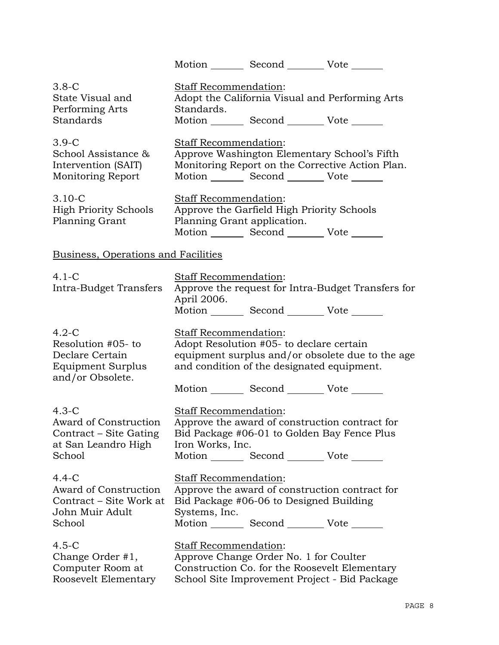|                                                                                             |                                                      | Motion _________ Second __________ Vote _______                                                                                                 |                                                    |
|---------------------------------------------------------------------------------------------|------------------------------------------------------|-------------------------------------------------------------------------------------------------------------------------------------------------|----------------------------------------------------|
| $3.8-C$<br>State Visual and<br>Performing Arts<br>Standards                                 | Staff Recommendation:<br>Standards.                  | Motion _________ Second __________ Vote _______                                                                                                 | Adopt the California Visual and Performing Arts    |
| $3.9-C$<br>School Assistance &<br>Intervention (SAIT)<br>Monitoring Report                  | Staff Recommendation:                                | Approve Washington Elementary School's Fifth<br>Motion _________ Second ___________ Vote _______                                                | Monitoring Report on the Corrective Action Plan.   |
| $3.10 - C$<br><b>High Priority Schools</b><br>Planning Grant                                | Staff Recommendation:<br>Planning Grant application. | Approve the Garfield High Priority Schools<br>Motion _________ Second __________ Vote _______                                                   |                                                    |
| <b>Business, Operations and Facilities</b>                                                  |                                                      |                                                                                                                                                 |                                                    |
| $4.1-C$<br>Intra-Budget Transfers                                                           | Staff Recommendation:<br>April 2006.                 | Motion _________ Second __________ Vote _______                                                                                                 | Approve the request for Intra-Budget Transfers for |
| $4.2-C$<br>Resolution #05- to<br>Declare Certain<br>Equipment Surplus<br>and/or Obsolete.   | <b>Staff Recommendation:</b>                         | Adopt Resolution #05- to declare certain<br>and condition of the designated equipment.<br>Motion _________ Second _________ Vote _______        | equipment surplus and/or obsolete due to the age   |
| $4.3-C$<br>Award of Construction<br>Contract – Site Gating<br>at San Leandro High<br>School | <b>Staff Recommendation:</b><br>Iron Works, Inc.     | Approve the award of construction contract for<br>Bid Package #06-01 to Golden Bay Fence Plus<br>Motion _________ Second _________ Vote _______ |                                                    |
| $4.4 - C$<br>Award of Construction<br>Contract – Site Work at<br>John Muir Adult<br>School  | Staff Recommendation:<br>Systems, Inc.               | Approve the award of construction contract for<br>Bid Package #06-06 to Designed Building<br>Motion _________ Second __________ Vote _______    |                                                    |
| $4.5-C$<br>Change Order #1,<br>Computer Room at<br>Roosevelt Elementary                     | Staff Recommendation:                                | Approve Change Order No. 1 for Coulter<br>Construction Co. for the Roosevelt Elementary<br>School Site Improvement Project - Bid Package        |                                                    |